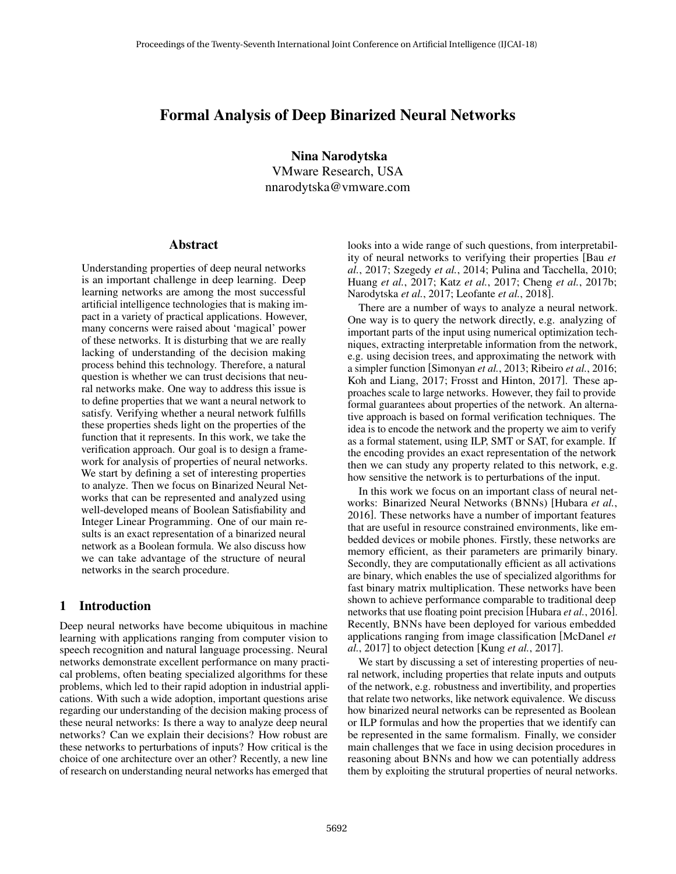# Formal Analysis of Deep Binarized Neural Networks

Nina Narodytska VMware Research, USA nnarodytska@vmware.com

#### Abstract

Understanding properties of deep neural networks is an important challenge in deep learning. Deep learning networks are among the most successful artificial intelligence technologies that is making impact in a variety of practical applications. However, many concerns were raised about 'magical' power of these networks. It is disturbing that we are really lacking of understanding of the decision making process behind this technology. Therefore, a natural question is whether we can trust decisions that neural networks make. One way to address this issue is to define properties that we want a neural network to satisfy. Verifying whether a neural network fulfills these properties sheds light on the properties of the function that it represents. In this work, we take the verification approach. Our goal is to design a framework for analysis of properties of neural networks. We start by defining a set of interesting properties to analyze. Then we focus on Binarized Neural Networks that can be represented and analyzed using well-developed means of Boolean Satisfiability and Integer Linear Programming. One of our main results is an exact representation of a binarized neural network as a Boolean formula. We also discuss how we can take advantage of the structure of neural networks in the search procedure.

# 1 Introduction

Deep neural networks have become ubiquitous in machine learning with applications ranging from computer vision to speech recognition and natural language processing. Neural networks demonstrate excellent performance on many practical problems, often beating specialized algorithms for these problems, which led to their rapid adoption in industrial applications. With such a wide adoption, important questions arise regarding our understanding of the decision making process of these neural networks: Is there a way to analyze deep neural networks? Can we explain their decisions? How robust are these networks to perturbations of inputs? How critical is the choice of one architecture over an other? Recently, a new line of research on understanding neural networks has emerged that

looks into a wide range of such questions, from interpretability of neural networks to verifying their properties [Bau *et al.*, 2017; Szegedy *et al.*, 2014; Pulina and Tacchella, 2010; Huang *et al.*, 2017; Katz *et al.*, 2017; Cheng *et al.*, 2017b; Narodytska *et al.*, 2017; Leofante *et al.*, 2018].

There are a number of ways to analyze a neural network. One way is to query the network directly, e.g. analyzing of important parts of the input using numerical optimization techniques, extracting interpretable information from the network, e.g. using decision trees, and approximating the network with a simpler function [Simonyan *et al.*, 2013; Ribeiro *et al.*, 2016; Koh and Liang, 2017; Frosst and Hinton, 2017]. These approaches scale to large networks. However, they fail to provide formal guarantees about properties of the network. An alternative approach is based on formal verification techniques. The idea is to encode the network and the property we aim to verify as a formal statement, using ILP, SMT or SAT, for example. If the encoding provides an exact representation of the network then we can study any property related to this network, e.g. how sensitive the network is to perturbations of the input.

In this work we focus on an important class of neural networks: Binarized Neural Networks (BNNs) [Hubara *et al.*, 2016]. These networks have a number of important features that are useful in resource constrained environments, like embedded devices or mobile phones. Firstly, these networks are memory efficient, as their parameters are primarily binary. Secondly, they are computationally efficient as all activations are binary, which enables the use of specialized algorithms for fast binary matrix multiplication. These networks have been shown to achieve performance comparable to traditional deep networks that use floating point precision [Hubara *et al.*, 2016]. Recently, BNNs have been deployed for various embedded applications ranging from image classification [McDanel *et al.*, 2017] to object detection [Kung *et al.*, 2017].

We start by discussing a set of interesting properties of neural network, including properties that relate inputs and outputs of the network, e.g. robustness and invertibility, and properties that relate two networks, like network equivalence. We discuss how binarized neural networks can be represented as Boolean or ILP formulas and how the properties that we identify can be represented in the same formalism. Finally, we consider main challenges that we face in using decision procedures in reasoning about BNNs and how we can potentially address them by exploiting the strutural properties of neural networks.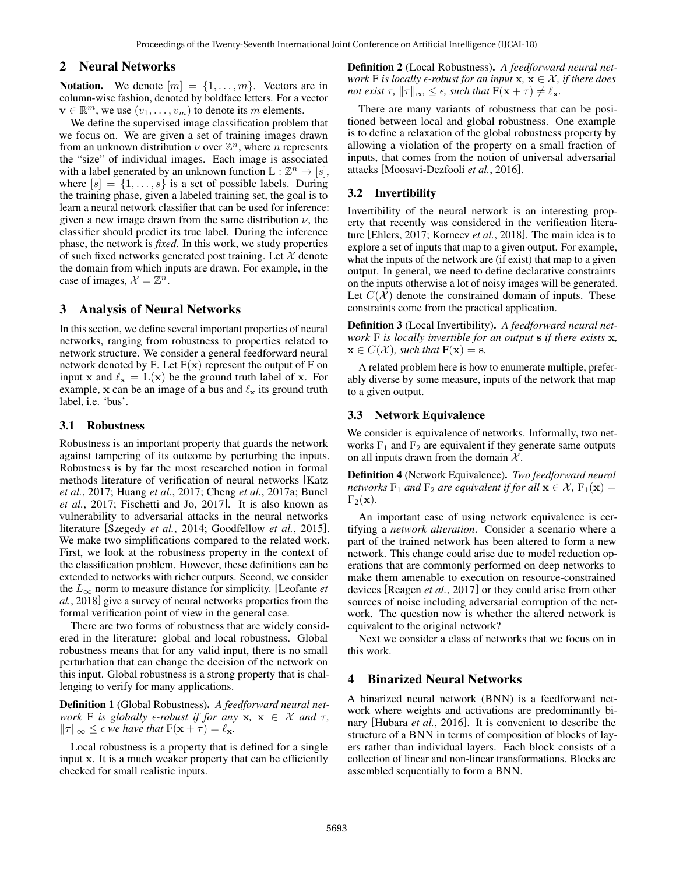## 2 Neural Networks

**Notation.** We denote  $[m] = \{1, \ldots, m\}$ . Vectors are in column-wise fashion, denoted by boldface letters. For a vector  $\mathbf{v} \in \mathbb{R}^m$ , we use  $(v_1, \dots, v_m)$  to denote its m elements.

We define the supervised image classification problem that we focus on. We are given a set of training images drawn from an unknown distribution  $\nu$  over  $\mathbb{Z}^n$ , where n represents the "size" of individual images. Each image is associated with a label generated by an unknown function  $L : \mathbb{Z}^n \to [s],$ where  $[s] = \{1, \ldots, s\}$  is a set of possible labels. During the training phase, given a labeled training set, the goal is to learn a neural network classifier that can be used for inference: given a new image drawn from the same distribution  $\nu$ , the classifier should predict its true label. During the inference phase, the network is *fixed*. In this work, we study properties of such fixed networks generated post training. Let  $X$  denote the domain from which inputs are drawn. For example, in the case of images,  $\mathcal{X} = \mathbb{Z}^n$ .

## 3 Analysis of Neural Networks

In this section, we define several important properties of neural networks, ranging from robustness to properties related to network structure. We consider a general feedforward neural network denoted by F. Let  $F(x)$  represent the output of F on input x and  $\ell_x = L(x)$  be the ground truth label of x. For example, x can be an image of a bus and  $\ell_x$  its ground truth label, i.e. 'bus'.

#### 3.1 Robustness

Robustness is an important property that guards the network against tampering of its outcome by perturbing the inputs. Robustness is by far the most researched notion in formal methods literature of verification of neural networks [Katz *et al.*, 2017; Huang *et al.*, 2017; Cheng *et al.*, 2017a; Bunel *et al.*, 2017; Fischetti and Jo, 2017]. It is also known as vulnerability to adversarial attacks in the neural networks literature [Szegedy *et al.*, 2014; Goodfellow *et al.*, 2015]. We make two simplifications compared to the related work. First, we look at the robustness property in the context of the classification problem. However, these definitions can be extended to networks with richer outputs. Second, we consider the  $L_{\infty}$  norm to measure distance for simplicity. [Leofante *et al.*, 2018] give a survey of neural networks properties from the formal verification point of view in the general case.

There are two forms of robustness that are widely considered in the literature: global and local robustness. Global robustness means that for any valid input, there is no small perturbation that can change the decision of the network on this input. Global robustness is a strong property that is challenging to verify for many applications.

Definition 1 (Global Robustness). *A feedforward neural network* **F** *is globally*  $\epsilon$ -robust *if for any*  $\mathbf{x}, \mathbf{x} \in \mathcal{X}$  *and*  $\tau$ *,*  $||\tau||_{\infty} \leq \epsilon$  we have that  $F(\mathbf{x} + \tau) = \ell_{\mathbf{x}}$ .

Local robustness is a property that is defined for a single input x. It is a much weaker property that can be efficiently checked for small realistic inputs.

Definition 2 (Local Robustness). *A feedforward neural network* **F** *is locally*  $\epsilon$ -robust for an input  $\mathbf{x}, \mathbf{x} \in \mathcal{X}$ *, if there does not exist*  $\tau$ ,  $\|\tau\|_{\infty} \leq \epsilon$ , such that  $F(\mathbf{x} + \tau) \neq \ell_{\mathbf{x}}$ .

There are many variants of robustness that can be positioned between local and global robustness. One example is to define a relaxation of the global robustness property by allowing a violation of the property on a small fraction of inputs, that comes from the notion of universal adversarial attacks [Moosavi-Dezfooli *et al.*, 2016].

#### 3.2 Invertibility

Invertibility of the neural network is an interesting property that recently was considered in the verification literature [Ehlers, 2017; Korneev *et al.*, 2018]. The main idea is to explore a set of inputs that map to a given output. For example, what the inputs of the network are (if exist) that map to a given output. In general, we need to define declarative constraints on the inputs otherwise a lot of noisy images will be generated. Let  $C(\mathcal{X})$  denote the constrained domain of inputs. These constraints come from the practical application.

Definition 3 (Local Invertibility). *A feedforward neural network* F *is locally invertible for an output* s *if there exists* x*,*  $\mathbf{x} \in C(\mathcal{X})$ *, such that*  $F(\mathbf{x}) = \mathbf{s}$ *.* 

A related problem here is how to enumerate multiple, preferably diverse by some measure, inputs of the network that map to a given output.

#### 3.3 Network Equivalence

We consider is equivalence of networks. Informally, two networks  $F_1$  and  $F_2$  are equivalent if they generate same outputs on all inputs drawn from the domain  $X$ .

Definition 4 (Network Equivalence). *Two feedforward neural networks*  $F_1$  *and*  $F_2$  *are equivalent if for all*  $\mathbf{x} \in \mathcal{X}$ ,  $F_1(\mathbf{x}) =$  $F_2(x)$ .

An important case of using network equivalence is certifying a *network alteration*. Consider a scenario where a part of the trained network has been altered to form a new network. This change could arise due to model reduction operations that are commonly performed on deep networks to make them amenable to execution on resource-constrained devices [Reagen *et al.*, 2017] or they could arise from other sources of noise including adversarial corruption of the network. The question now is whether the altered network is equivalent to the original network?

Next we consider a class of networks that we focus on in this work.

## 4 Binarized Neural Networks

A binarized neural network (BNN) is a feedforward network where weights and activations are predominantly binary [Hubara *et al.*, 2016]. It is convenient to describe the structure of a BNN in terms of composition of blocks of layers rather than individual layers. Each block consists of a collection of linear and non-linear transformations. Blocks are assembled sequentially to form a BNN.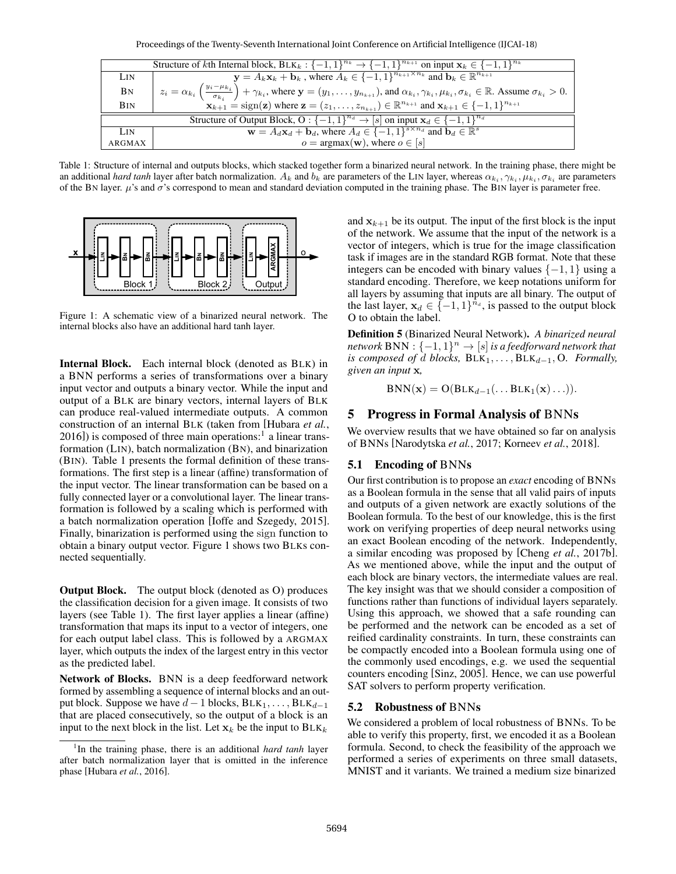Proceedings of the Twenty-Seventh International Joint Conference on Artificial Intelligence (IJCAI-18)

| Structure of kth Internal block, $BLK_k$ : $\{-1, 1\}^{n_k} \rightarrow \{-1, 1\}^{n_{k+1}}$ on input $\mathbf{x}_k \in \{-1, 1\}^{n_k}$ |                                                                                                                                                                                                                                                   |
|------------------------------------------------------------------------------------------------------------------------------------------|---------------------------------------------------------------------------------------------------------------------------------------------------------------------------------------------------------------------------------------------------|
| LIN                                                                                                                                      | $\mathbf{y} = A_k \mathbf{x}_k + \mathbf{b}_k$ , where $A_k \in \{-1, 1\}^{n_{k+1} \times n_k}$ and $\mathbf{b}_k \in \mathbb{R}^{n_{k+1}}$                                                                                                       |
| <b>B</b> <sub>N</sub>                                                                                                                    | $z_i = \alpha_{k_i} \left( \frac{y_i - \mu_{k_i}}{\sigma_{k_i}} \right) + \gamma_{k_i}$ , where $\mathbf{y} = (y_1, \dots, y_{n_{k+1}})$ , and $\alpha_{k_i}, \gamma_{k_i}, \mu_{k_i}, \sigma_{k_i} \in \mathbb{R}$ . Assume $\sigma_{k_i} > 0$ . |
| <b>B</b> IN                                                                                                                              | $\mathbf{x}_{k+1} = \text{sign}(\mathbf{z})$ where $\mathbf{z} = (z_1, \dots, z_{n_{k+1}}) \in \mathbb{R}^{n_{k+1}}$ and $\mathbf{x}_{k+1} \in \{-1, 1\}^{n_{k+1}}$                                                                               |
| Structure of Output Block, $O: \{-1, 1\}^{n_d} \rightarrow [s]$ on input $x_d \in \{-1, 1\}^{n_d}$                                       |                                                                                                                                                                                                                                                   |
| LIN                                                                                                                                      | $\mathbf{w} = A_d \mathbf{x}_d + \mathbf{b}_d$ , where $A_d \in \{-1, 1\}^{s \times n_d}$ and $\mathbf{b}_d \in \mathbb{R}^s$                                                                                                                     |
| ARGMAX                                                                                                                                   | $o = \text{argmax}(\mathbf{w})$ , where $o \in [s]$                                                                                                                                                                                               |

Table 1: Structure of internal and outputs blocks, which stacked together form a binarized neural network. In the training phase, there might be an additional *hard tanh* layer after batch normalization.  $A_k$  and  $b_k$  are parameters of the LIN layer, whereas  $\alpha_{k_i}, \gamma_{k_i}, \mu_{k_i}, \sigma_{k_i}$  are parameters of the BN layer.  $\mu$ 's and  $\sigma$ 's correspond to mean and standard deviation computed in the training phase. The BIN layer is parameter free.



Figure 1: A schematic view of a binarized neural network. The internal blocks also have an additional hard tanh layer.

Internal Block. Each internal block (denoted as BLK) in a BNN performs a series of transformations over a binary input vector and outputs a binary vector. While the input and output of a BLK are binary vectors, internal layers of BLK can produce real-valued intermediate outputs. A common construction of an internal BLK (taken from [Hubara *et al.*,  $2016$ ]) is composed of three main operations:<sup>1</sup> a linear transformation (LIN), batch normalization (BN), and binarization (BIN). Table 1 presents the formal definition of these transformations. The first step is a linear (affine) transformation of the input vector. The linear transformation can be based on a fully connected layer or a convolutional layer. The linear transformation is followed by a scaling which is performed with a batch normalization operation [Ioffe and Szegedy, 2015]. Finally, binarization is performed using the sign function to obtain a binary output vector. Figure 1 shows two BLKs connected sequentially.

**Output Block.** The output block (denoted as O) produces the classification decision for a given image. It consists of two layers (see Table 1). The first layer applies a linear (affine) transformation that maps its input to a vector of integers, one for each output label class. This is followed by a ARGMAX layer, which outputs the index of the largest entry in this vector as the predicted label.

Network of Blocks. BNN is a deep feedforward network formed by assembling a sequence of internal blocks and an output block. Suppose we have  $d-1$  blocks, BLK<sub>1</sub>, . . . , BLK<sub>d−1</sub> that are placed consecutively, so the output of a block is an input to the next block in the list. Let  $x_k$  be the input to  $BLK_k$ 

and  $x_{k+1}$  be its output. The input of the first block is the input of the network. We assume that the input of the network is a vector of integers, which is true for the image classification task if images are in the standard RGB format. Note that these integers can be encoded with binary values  $\{-1, 1\}$  using a standard encoding. Therefore, we keep notations uniform for all layers by assuming that inputs are all binary. The output of the last layer,  $x_d \in \{-1, 1\}^{\bar{n}_d}$ , is passed to the output block O to obtain the label.

Definition 5 (Binarized Neural Network). *A binarized neural*  $\mathit{network}\ BNN: \{-1,1\}^n \rightarrow [s]$  *is a feedforward network that is composed of d blocks,*  $BLK_1, \ldots, BLK_{d-1}, O$ *. Formally, given an input* x*,*

$$
BNN(\mathbf{x}) = O(BLK_{d-1}(\dots BLK_1(\mathbf{x})\dots)).
$$

## 5 Progress in Formal Analysis of BNNs

We overview results that we have obtained so far on analysis of BNNs [Narodytska *et al.*, 2017; Korneev *et al.*, 2018].

## 5.1 Encoding of BNNs

Our first contribution is to propose an *exact* encoding of BNNs as a Boolean formula in the sense that all valid pairs of inputs and outputs of a given network are exactly solutions of the Boolean formula. To the best of our knowledge, this is the first work on verifying properties of deep neural networks using an exact Boolean encoding of the network. Independently, a similar encoding was proposed by [Cheng *et al.*, 2017b]. As we mentioned above, while the input and the output of each block are binary vectors, the intermediate values are real. The key insight was that we should consider a composition of functions rather than functions of individual layers separately. Using this approach, we showed that a safe rounding can be performed and the network can be encoded as a set of reified cardinality constraints. In turn, these constraints can be compactly encoded into a Boolean formula using one of the commonly used encodings, e.g. we used the sequential counters encoding [Sinz, 2005]. Hence, we can use powerful SAT solvers to perform property verification.

#### 5.2 Robustness of BNNs

We considered a problem of local robustness of BNNs. To be able to verify this property, first, we encoded it as a Boolean formula. Second, to check the feasibility of the approach we performed a series of experiments on three small datasets, MNIST and it variants. We trained a medium size binarized

<sup>&</sup>lt;sup>1</sup>In the training phase, there is an additional *hard tanh* layer after batch normalization layer that is omitted in the inference phase [Hubara *et al.*, 2016].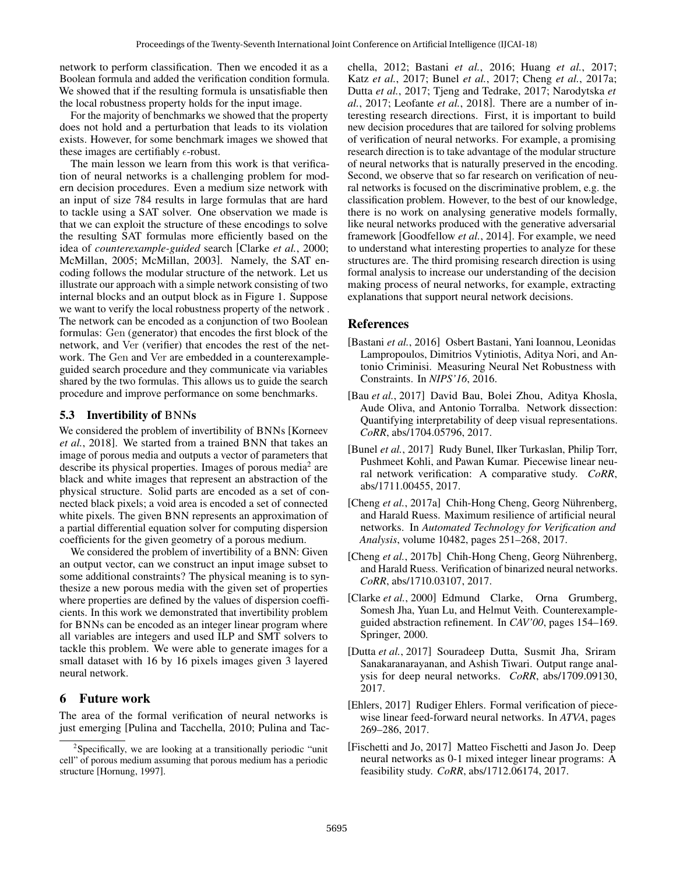network to perform classification. Then we encoded it as a Boolean formula and added the verification condition formula. We showed that if the resulting formula is unsatisfiable then the local robustness property holds for the input image.

For the majority of benchmarks we showed that the property does not hold and a perturbation that leads to its violation exists. However, for some benchmark images we showed that these images are certifiably  $\epsilon$ -robust.

The main lesson we learn from this work is that verification of neural networks is a challenging problem for modern decision procedures. Even a medium size network with an input of size 784 results in large formulas that are hard to tackle using a SAT solver. One observation we made is that we can exploit the structure of these encodings to solve the resulting SAT formulas more efficiently based on the idea of *counterexample-guided* search [Clarke *et al.*, 2000; McMillan, 2005; McMillan, 2003]. Namely, the SAT encoding follows the modular structure of the network. Let us illustrate our approach with a simple network consisting of two internal blocks and an output block as in Figure 1. Suppose we want to verify the local robustness property of the network . The network can be encoded as a conjunction of two Boolean formulas: Gen (generator) that encodes the first block of the network, and Ver (verifier) that encodes the rest of the network. The Gen and Ver are embedded in a counterexampleguided search procedure and they communicate via variables shared by the two formulas. This allows us to guide the search procedure and improve performance on some benchmarks.

## 5.3 Invertibility of BNNs

We considered the problem of invertibility of BNNs [Korneev *et al.*, 2018]. We started from a trained BNN that takes an image of porous media and outputs a vector of parameters that describe its physical properties. Images of porous media<sup>2</sup> are black and white images that represent an abstraction of the physical structure. Solid parts are encoded as a set of connected black pixels; a void area is encoded a set of connected white pixels. The given BNN represents an approximation of a partial differential equation solver for computing dispersion coefficients for the given geometry of a porous medium.

We considered the problem of invertibility of a BNN: Given an output vector, can we construct an input image subset to some additional constraints? The physical meaning is to synthesize a new porous media with the given set of properties where properties are defined by the values of dispersion coefficients. In this work we demonstrated that invertibility problem for BNNs can be encoded as an integer linear program where all variables are integers and used ILP and SMT solvers to tackle this problem. We were able to generate images for a small dataset with 16 by 16 pixels images given 3 layered neural network.

# 6 Future work

The area of the formal verification of neural networks is just emerging [Pulina and Tacchella, 2010; Pulina and Tacchella, 2012; Bastani *et al.*, 2016; Huang *et al.*, 2017; Katz *et al.*, 2017; Bunel *et al.*, 2017; Cheng *et al.*, 2017a; Dutta *et al.*, 2017; Tjeng and Tedrake, 2017; Narodytska *et al.*, 2017; Leofante *et al.*, 2018]. There are a number of interesting research directions. First, it is important to build new decision procedures that are tailored for solving problems of verification of neural networks. For example, a promising research direction is to take advantage of the modular structure of neural networks that is naturally preserved in the encoding. Second, we observe that so far research on verification of neural networks is focused on the discriminative problem, e.g. the classification problem. However, to the best of our knowledge, there is no work on analysing generative models formally, like neural networks produced with the generative adversarial framework [Goodfellow *et al.*, 2014]. For example, we need to understand what interesting properties to analyze for these structures are. The third promising research direction is using formal analysis to increase our understanding of the decision making process of neural networks, for example, extracting explanations that support neural network decisions.

# References

- [Bastani *et al.*, 2016] Osbert Bastani, Yani Ioannou, Leonidas Lampropoulos, Dimitrios Vytiniotis, Aditya Nori, and Antonio Criminisi. Measuring Neural Net Robustness with Constraints. In *NIPS'16*, 2016.
- [Bau *et al.*, 2017] David Bau, Bolei Zhou, Aditya Khosla, Aude Oliva, and Antonio Torralba. Network dissection: Quantifying interpretability of deep visual representations. *CoRR*, abs/1704.05796, 2017.
- [Bunel *et al.*, 2017] Rudy Bunel, Ilker Turkaslan, Philip Torr, Pushmeet Kohli, and Pawan Kumar. Piecewise linear neural network verification: A comparative study. *CoRR*, abs/1711.00455, 2017.
- [Cheng *et al.*, 2017a] Chih-Hong Cheng, Georg Nührenberg, and Harald Ruess. Maximum resilience of artificial neural networks. In *Automated Technology for Verification and Analysis*, volume 10482, pages 251–268, 2017.
- [Cheng *et al.*, 2017b] Chih-Hong Cheng, Georg Nührenberg, and Harald Ruess. Verification of binarized neural networks. *CoRR*, abs/1710.03107, 2017.
- [Clarke *et al.*, 2000] Edmund Clarke, Orna Grumberg, Somesh Jha, Yuan Lu, and Helmut Veith. Counterexampleguided abstraction refinement. In *CAV'00*, pages 154–169. Springer, 2000.
- [Dutta *et al.*, 2017] Souradeep Dutta, Susmit Jha, Sriram Sanakaranarayanan, and Ashish Tiwari. Output range analysis for deep neural networks. *CoRR*, abs/1709.09130, 2017.
- [Ehlers, 2017] Rudiger Ehlers. Formal verification of piecewise linear feed-forward neural networks. In *ATVA*, pages 269–286, 2017.
- [Fischetti and Jo, 2017] Matteo Fischetti and Jason Jo. Deep neural networks as 0-1 mixed integer linear programs: A feasibility study. *CoRR*, abs/1712.06174, 2017.

<sup>&</sup>lt;sup>2</sup>Specifically, we are looking at a transitionally periodic "unit cell" of porous medium assuming that porous medium has a periodic structure [Hornung, 1997].